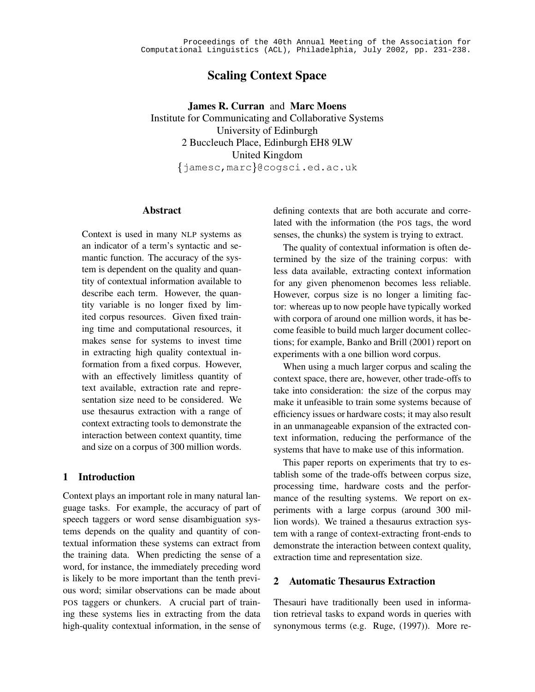# **Scaling Context Space**

**James R. Curran** and **Marc Moens** Institute for Communicating and Collaborative Systems University of Edinburgh 2 Buccleuch Place, Edinburgh EH8 9LW United Kingdom  $\{\mathtt{jamesc,marc}\}$ @cogsci.ed.ac.uk

# **Abstract**

Context is used in many NLP systems as an indicator of a term's syntactic and semantic function. The accuracy of the system is dependent on the quality and quantity of contextual information available to describe each term. However, the quantity variable is no longer fixed by limited corpus resources. Given fixed training time and computational resources, it makes sense for systems to invest time in extracting high quality contextual information from a fixed corpus. However, with an effectively limitless quantity of text available, extraction rate and representation size need to be considered. We use thesaurus extraction with a range of context extracting tools to demonstrate the interaction between context quantity, time and size on a corpus of 300 million words.

# **1 Introduction**

Context plays an important role in many natural language tasks. For example, the accuracy of part of speech taggers or word sense disambiguation systems depends on the quality and quantity of contextual information these systems can extract from the training data. When predicting the sense of a word, for instance, the immediately preceding word is likely to be more important than the tenth previous word; similar observations can be made about POS taggers or chunkers. A crucial part of training these systems lies in extracting from the data high-quality contextual information, in the sense of defining contexts that are both accurate and correlated with the information (the POS tags, the word senses, the chunks) the system is trying to extract.

The quality of contextual information is often determined by the size of the training corpus: with less data available, extracting context information for any given phenomenon becomes less reliable. However, corpus size is no longer a limiting factor: whereas up to now people have typically worked with corpora of around one million words, it has become feasible to build much larger document collections; for example, Banko and Brill (2001) report on experiments with a one billion word corpus.

When using a much larger corpus and scaling the context space, there are, however, other trade-offs to take into consideration: the size of the corpus may make it unfeasible to train some systems because of efficiency issues or hardware costs; it may also result in an unmanageable expansion of the extracted context information, reducing the performance of the systems that have to make use of this information.

This paper reports on experiments that try to establish some of the trade-offs between corpus size, processing time, hardware costs and the performance of the resulting systems. We report on experiments with a large corpus (around 300 million words). We trained a thesaurus extraction system with a range of context-extracting front-ends to demonstrate the interaction between context quality, extraction time and representation size.

## **2 Automatic Thesaurus Extraction**

Thesauri have traditionally been used in information retrieval tasks to expand words in queries with synonymous terms (e.g. Ruge, (1997)). More re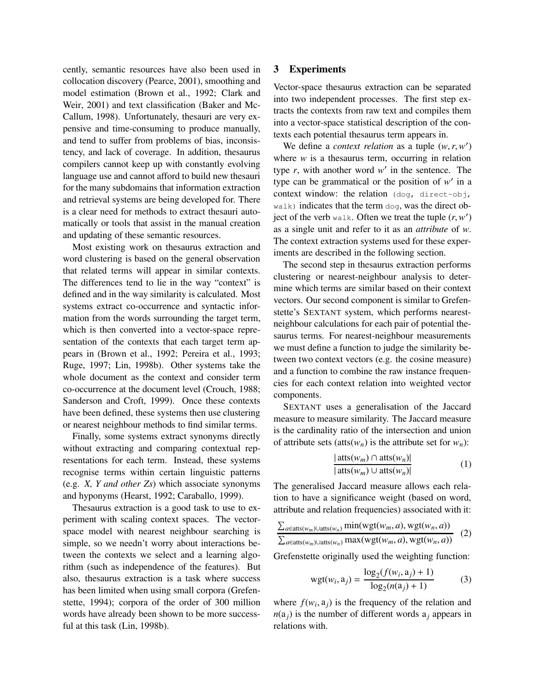cently, semantic resources have also been used in collocation discovery (Pearce, 2001), smoothing and model estimation (Brown et al., 1992; Clark and Weir, 2001) and text classification (Baker and Mc-Callum, 1998). Unfortunately, thesauri are very expensive and time-consuming to produce manually, and tend to suffer from problems of bias, inconsistency, and lack of coverage. In addition, thesaurus compilers cannot keep up with constantly evolving language use and cannot afford to build new thesauri for the many subdomains that information extraction and retrieval systems are being developed for. There is a clear need for methods to extract thesauri automatically or tools that assist in the manual creation and updating of these semantic resources.

Most existing work on thesaurus extraction and word clustering is based on the general observation that related terms will appear in similar contexts. The differences tend to lie in the way "context" is defined and in the way similarity is calculated. Most systems extract co-occurrence and syntactic information from the words surrounding the target term, which is then converted into a vector-space representation of the contexts that each target term appears in (Brown et al., 1992; Pereira et al., 1993; Ruge, 1997; Lin, 1998b). Other systems take the whole document as the context and consider term co-occurrence at the document level (Crouch, 1988; Sanderson and Croft, 1999). Once these contexts have been defined, these systems then use clustering or nearest neighbour methods to find similar terms.

Finally, some systems extract synonyms directly without extracting and comparing contextual representations for each term. Instead, these systems recognise terms within certain linguistic patterns (e.g. *X, Y and other Zs*) which associate synonyms and hyponyms (Hearst, 1992; Caraballo, 1999).

Thesaurus extraction is a good task to use to experiment with scaling context spaces. The vectorspace model with nearest neighbour searching is simple, so we needn't worry about interactions between the contexts we select and a learning algorithm (such as independence of the features). But also, thesaurus extraction is a task where success has been limited when using small corpora (Grefenstette, 1994); corpora of the order of 300 million words have already been shown to be more successful at this task (Lin, 1998b).

## **3 Experiments**

Vector-space thesaurus extraction can be separated into two independent processes. The first step extracts the contexts from raw text and compiles them into a vector-space statistical description of the contexts each potential thesaurus term appears in.

We define a *context relation* as a tuple  $(w, r, w')$ where  $w$  is a thesaurus term, occurring in relation type  $r$ , with another word  $w'$  in the sentence. The type can be grammatical or the position of  $w'$  in a context window: the relation (dog, direct-obj, walk) indicates that the term dog, was the direct object of the verb walk. Often we treat the tuple  $(r, w')$ as a single unit and refer to it as an *attribute* of *w*. The context extraction systems used for these experiments are described in the following section.

The second step in thesaurus extraction performs clustering or nearest-neighbour analysis to determine which terms are similar based on their context vectors. Our second component is similar to Grefenstette's SEXTANT system, which performs nearestneighbour calculations for each pair of potential thesaurus terms. For nearest-neighbour measurements we must define a function to judge the similarity between two context vectors (e.g. the cosine measure) and a function to combine the raw instance frequencies for each context relation into weighted vector components.

SEXTANT uses a generalisation of the Jaccard measure to measure similarity. The Jaccard measure is the cardinality ratio of the intersection and union of attribute sets (atts( $w_n$ ) is the attribute set for  $w_n$ ):

$$
\frac{|\operatorname{atts}(w_m) \cap \operatorname{atts}(w_n)|}{|\operatorname{atts}(w_m) \cup \operatorname{atts}(w_n)|} \tag{1}
$$

The generalised Jaccard measure allows each relation to have a significance weight (based on word, attribute and relation frequencies) associated with it:

$$
\frac{\sum_{a \in \text{atts}(w_m) \cup \text{atts}(w_n)} \min(wgt(w_m, a), \text{wgt}(w_n, a))}{\sum_{a \in \text{atts}(w_m) \cup \text{atts}(w_n)} \max(wgt(w_m, a), \text{wgt}(w_n, a))}
$$
(2)

Grefenstette originally used the weighting function:

$$
wgt(w_i, a_j) = \frac{\log_2(f(w_i, a_j) + 1)}{\log_2(n(a_j) + 1)}
$$
(3)

where  $f(w_i, a_j)$  is the frequency of the relation and  $n(a_i)$  is the number of different words  $a_i$  appears in relations with.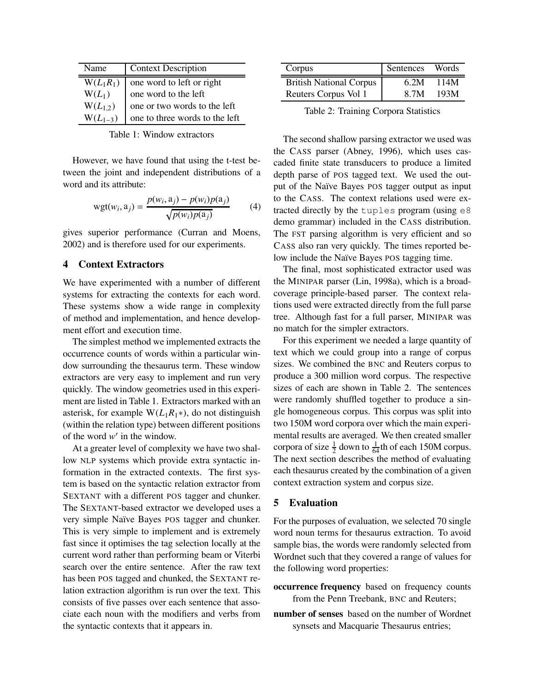| Name         | <b>Context Description</b>     |
|--------------|--------------------------------|
| $W(L_1R_1)$  | one word to left or right      |
| $W(L_1)$     | one word to the left           |
| $W(L_{1,2})$ | one or two words to the left   |
| $W(L_{1-3})$ | one to three words to the left |

|  |  | Table 1: Window extractors |
|--|--|----------------------------|
|--|--|----------------------------|

However, we have found that using the t-test between the joint and independent distributions of a word and its attribute:

$$
wgt(w_i, a_j) = \frac{p(w_i, a_j) - p(w_i)p(a_j)}{\sqrt{p(w_i)p(a_j)}}
$$
(4)

gives superior performance (Curran and Moens, 2002) and is therefore used for our experiments.

## **4 Context Extractors**

We have experimented with a number of different systems for extracting the contexts for each word. These systems show a wide range in complexity of method and implementation, and hence development effort and execution time.

The simplest method we implemented extracts the occurrence counts of words within a particular window surrounding the thesaurus term. These window extractors are very easy to implement and run very quickly. The window geometries used in this experiment are listed in Table 1. Extractors marked with an asterisk, for example  $W(L_1R_1*)$ , do not distinguish (within the relation type) between different positions of the word  $w'$  in the window.

At a greater level of complexity we have two shallow NLP systems which provide extra syntactic information in the extracted contexts. The first system is based on the syntactic relation extractor from SEXTANT with a different POS tagger and chunker. The SEXTANT-based extractor we developed uses a very simple Naïve Bayes POS tagger and chunker. This is very simple to implement and is extremely fast since it optimises the tag selection locally at the current word rather than performing beam or Viterbi search over the entire sentence. After the raw text has been POS tagged and chunked, the SEXTANT relation extraction algorithm is run over the text. This consists of five passes over each sentence that associate each noun with the modifiers and verbs from the syntactic contexts that it appears in.

| Corpus                         | Sentences | Words |
|--------------------------------|-----------|-------|
| <b>British National Corpus</b> | 6.2M      | 114M  |
| Reuters Corpus Vol 1           | 8.7M      | 193M  |

Table 2: Training Corpora Statistics

The second shallow parsing extractor we used was the CASS parser (Abney, 1996), which uses cascaded finite state transducers to produce a limited depth parse of POS tagged text. We used the output of the Naïve Bayes POS tagger output as input to the CASS. The context relations used were extracted directly by the tuples program (using  $e^8$ demo grammar) included in the CASS distribution. The FST parsing algorithm is very efficient and so CASS also ran very quickly. The times reported below include the Naïve Bayes POS tagging time.

The final, most sophisticated extractor used was the MINIPAR parser (Lin, 1998a), which is a broadcoverage principle-based parser. The context relations used were extracted directly from the full parse tree. Although fast for a full parser, MINIPAR was no match for the simpler extractors.

For this experiment we needed a large quantity of text which we could group into a range of corpus sizes. We combined the BNC and Reuters corpus to produce a 300 million word corpus. The respective sizes of each are shown in Table 2. The sentences were randomly shuffled together to produce a single homogeneous corpus. This corpus was split into two 150M word corpora over which the main experimental results are averaged. We then created smaller corpora of size  $\frac{1}{2}$  down to  $\frac{1}{64}$ th of each 150M corpus. The next section describes the method of evaluating each thesaurus created by the combination of a given context extraction system and corpus size.

#### **5 Evaluation**

For the purposes of evaluation, we selected 70 single word noun terms for thesaurus extraction. To avoid sample bias, the words were randomly selected from Wordnet such that they covered a range of values for the following word properties:

- **occurrence frequency** based on frequency counts from the Penn Treebank, BNC and Reuters;
- **number of senses** based on the number of Wordnet synsets and Macquarie Thesaurus entries;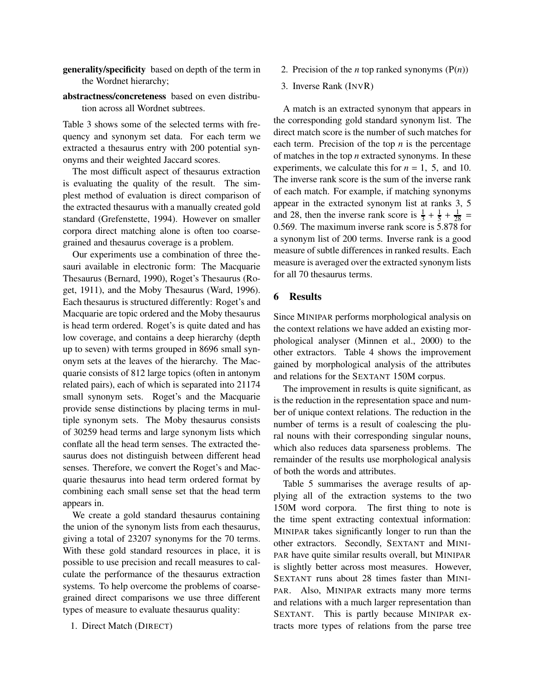- **generality/specificity** based on depth of the term in the Wordnet hierarchy;
- **abstractness/concreteness** based on even distribution across all Wordnet subtrees.

Table 3 shows some of the selected terms with frequency and synonym set data. For each term we extracted a thesaurus entry with 200 potential synonyms and their weighted Jaccard scores.

The most difficult aspect of thesaurus extraction is evaluating the quality of the result. The simplest method of evaluation is direct comparison of the extracted thesaurus with a manually created gold standard (Grefenstette, 1994). However on smaller corpora direct matching alone is often too coarsegrained and thesaurus coverage is a problem.

Our experiments use a combination of three thesauri available in electronic form: The Macquarie Thesaurus (Bernard, 1990), Roget's Thesaurus (Roget, 1911), and the Moby Thesaurus (Ward, 1996). Each thesaurus is structured differently: Roget's and Macquarie are topic ordered and the Moby thesaurus is head term ordered. Roget's is quite dated and has low coverage, and contains a deep hierarchy (depth up to seven) with terms grouped in 8696 small synonym sets at the leaves of the hierarchy. The Macquarie consists of 812 large topics (often in antonym related pairs), each of which is separated into 21174 small synonym sets. Roget's and the Macquarie provide sense distinctions by placing terms in multiple synonym sets. The Moby thesaurus consists of 30259 head terms and large synonym lists which conflate all the head term senses. The extracted thesaurus does not distinguish between different head senses. Therefore, we convert the Roget's and Macquarie thesaurus into head term ordered format by combining each small sense set that the head term appears in.

We create a gold standard thesaurus containing the union of the synonym lists from each thesaurus, giving a total of 23207 synonyms for the 70 terms. With these gold standard resources in place, it is possible to use precision and recall measures to calculate the performance of the thesaurus extraction systems. To help overcome the problems of coarsegrained direct comparisons we use three different types of measure to evaluate thesaurus quality:

1. Direct Match (DIRECT)

- 2. Precision of the *n* top ranked synonyms  $(P(n))$
- 3. Inverse Rank (INVR)

A match is an extracted synonym that appears in the corresponding gold standard synonym list. The direct match score is the number of such matches for each term. Precision of the top *n* is the percentage of matches in the top *n* extracted synonyms. In these experiments, we calculate this for  $n = 1$ , 5, and 10. The inverse rank score is the sum of the inverse rank of each match. For example, if matching synonyms appear in the extracted synonym list at ranks 3, 5 and 28, then the inverse rank score is  $\frac{1}{3} + \frac{1}{5}$  $\frac{1}{5} + \frac{1}{28} =$ 0.569. The maximum inverse rank score is 5.878 for a synonym list of 200 terms. Inverse rank is a good measure of subtle differences in ranked results. Each measure is averaged over the extracted synonym lists for all 70 thesaurus terms.

## **6 Results**

Since MINIPAR performs morphological analysis on the context relations we have added an existing morphological analyser (Minnen et al., 2000) to the other extractors. Table 4 shows the improvement gained by morphological analysis of the attributes and relations for the SEXTANT 150M corpus.

The improvement in results is quite significant, as is the reduction in the representation space and number of unique context relations. The reduction in the number of terms is a result of coalescing the plural nouns with their corresponding singular nouns, which also reduces data sparseness problems. The remainder of the results use morphological analysis of both the words and attributes.

Table 5 summarises the average results of applying all of the extraction systems to the two 150M word corpora. The first thing to note is the time spent extracting contextual information: MINIPAR takes significantly longer to run than the other extractors. Secondly, SEXTANT and MINI-PAR have quite similar results overall, but MINIPAR is slightly better across most measures. However, SEXTANT runs about 28 times faster than MINI-PAR. Also, MINIPAR extracts many more terms and relations with a much larger representation than SEXTANT. This is partly because MINIPAR extracts more types of relations from the parse tree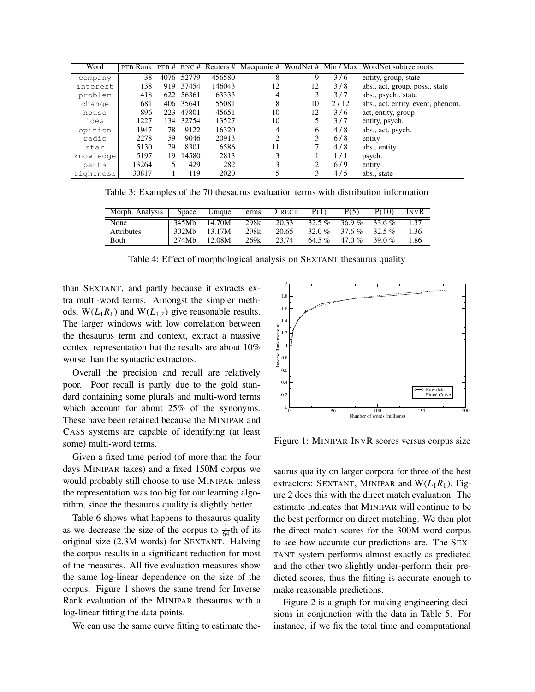| Word      |       |      |           |        |    |    |      | PTB Rank PTB # BNC # Reuters # Macquarie # WordNet # Min / Max WordNet subtree roots |
|-----------|-------|------|-----------|--------|----|----|------|--------------------------------------------------------------------------------------|
| company   | 38    | 4076 | 52779     | 456580 | 8  |    | 3/6  | entity, group, state                                                                 |
| interest  | 138   | 919  | 37454     | 146043 | 12 | 12 | 3/8  | abs., act, group, poss., state                                                       |
| problem   | 418   |      | 622 56361 | 63333  | 4  | 3  | 3/7  | abs., psych., state                                                                  |
| change    | 681   |      | 406 35641 | 55081  | 8  | 10 | 2/12 | abs., act, entity, event, phenom.                                                    |
| house     | 896   | 223  | 47801     | 45651  | 10 | 12 | 3/6  | act, entity, group                                                                   |
| idea      | 1227  | 134  | 32754     | 13527  | 10 |    | 3/7  | entity, psych.                                                                       |
| opinion   | 1947  | 78   | 9122      | 16320  | 4  | 6  | 4/8  | abs., act, psych.                                                                    |
| radio     | 2278  | 59   | 9046      | 20913  | ∍  | 3  | 6/8  | entity                                                                               |
| star      | 5130  | 29   | 8301      | 6586   | 11 |    | 4/8  | abs., entity                                                                         |
| knowledge | 5197  | 19   | 14580     | 2813   | 3  |    | 1/1  | psych.                                                                               |
| pants     | 13264 | 5    | 429       | 282    |    | 2  | 6/9  | entity                                                                               |
| tightness | 30817 |      | 119       | 2020   |    | 3  | 4/5  | abs., state                                                                          |

Table 3: Examples of the 70 thesaurus evaluation terms with distribution information

| Morph. Analysis   | Space | Unique | Terms | <b>DIRECT</b> | P(1)     | P(5)     | P(10)    | INVR |
|-------------------|-------|--------|-------|---------------|----------|----------|----------|------|
| None              | 345Mb | 14.70M | 298k  | 20.33         | $32.5\%$ | 36.9 %   | $33.6\%$ | 137  |
| <b>Attributes</b> | 302Mh | 13.17M | 298k  | 20.65         | 32.0 $%$ | 37.6%    | 32.5 $%$ | 1.36 |
| <b>Both</b>       | 274Mb | 12.08M | 269k  | 23.74         | 64.5 %   | 47.0 $%$ | 39.0 %   | 1.86 |

Table 4: Effect of morphological analysis on SEXTANT thesaurus quality

than SEXTANT, and partly because it extracts extra multi-word terms. Amongst the simpler methods,  $W(L_1R_1)$  and  $W(L_{1,2})$  give reasonable results. The larger windows with low correlation between the thesaurus term and context, extract a massive context representation but the results are about 10% worse than the syntactic extractors.

Overall the precision and recall are relatively poor. Poor recall is partly due to the gold standard containing some plurals and multi-word terms which account for about 25% of the synonyms. These have been retained because the MINIPAR and CASS systems are capable of identifying (at least some) multi-word terms.

Given a fixed time period (of more than the four days MINIPAR takes) and a fixed 150M corpus we would probably still choose to use MINIPAR unless the representation was too big for our learning algorithm, since the thesaurus quality is slightly better.

Table 6 shows what happens to thesaurus quality as we decrease the size of the corpus to  $\frac{1}{64}$ th of its original size (2.3M words) for SEXTANT. Halving the corpus results in a significant reduction for most of the measures. All five evaluation measures show the same log-linear dependence on the size of the corpus. Figure 1 shows the same trend for Inverse Rank evaluation of the MINIPAR thesaurus with a log-linear fitting the data points.

We can use the same curve fitting to estimate the-



Figure 1: MINIPAR INVR scores versus corpus size

saurus quality on larger corpora for three of the best extractors: SEXTANT, MINIPAR and  $W(L_1R_1)$ . Figure 2 does this with the direct match evaluation. The estimate indicates that MINIPAR will continue to be the best performer on direct matching. We then plot the direct match scores for the 300M word corpus to see how accurate our predictions are. The SEX-TANT system performs almost exactly as predicted and the other two slightly under-perform their predicted scores, thus the fitting is accurate enough to make reasonable predictions.

Figure 2 is a graph for making engineering decisions in conjunction with the data in Table 5. For instance, if we fix the total time and computational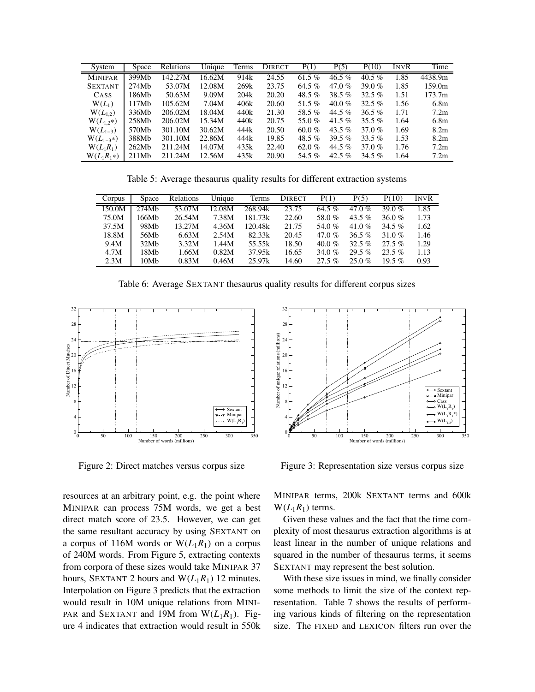| System         | Space | Relations | Unique | Terms            | <b>DIRECT</b> | P(1)     | P(5)     | P(10)    | INVR | Time             |
|----------------|-------|-----------|--------|------------------|---------------|----------|----------|----------|------|------------------|
| <b>MINIPAR</b> | 399Mb | 142.27M   | 16.62M | 914k             | 24.55         | 61.5 $%$ | 46.5 $%$ | 40.5 $%$ | 1.85 | 4438.9m          |
| <b>SEXTANT</b> | 274Mh | 53.07M    | 12.08M | 269 <sub>k</sub> | 23.75         | 64.5 $%$ | 47.0 %   | 39.0 $%$ | 1.85 | 159.0m           |
| CASS           | 186Mb | 50.63M    | 9.09M  | 204 <sub>k</sub> | 20.20         | 48.5 $%$ | 38.5 $%$ | $32.5\%$ | 1.51 | 173.7m           |
| $W(L_1)$       | 117Mb | 105.62M   | 7.04M  | 406k             | 20.60         | 51.5%    | 40.0 %   | $32.5\%$ | 1.56 | 6.8 <sub>m</sub> |
| $W(L_{1,2})$   | 336Mb | 206.02M   | 18.04M | 440k             | 21.30         | 58.5%    | 44.5 $%$ | $36.5\%$ | 1.71 | 7.2 <sub>m</sub> |
| $W(L_1,*)$     | 258Mb | 206.02M   | 15.34M | 440k             | 20.75         | 55.0%    | 41.5 $%$ | 35.5 $%$ | 1.64 | 6.8 <sub>m</sub> |
| $W(L_{1-3})$   | 570Mb | 301.10M   | 30.62M | 444k             | 20.50         | 60.0 $%$ | 43.5 $%$ | 37.0 $%$ | 1.69 | 8.2m             |
| $W(L_{1-3}*)$  | 388Mb | 301.10M   | 22.86M | 444k             | 19.85         | 48.5 $%$ | 39.5 $%$ | 33.5 $%$ | 1.53 | 8.2m             |
| $W(L_1R_1)$    | 262Mb | 211.24M   | 14.07M | 435k             | 22.40         | 62.0 %   | 44.5 $%$ | 37.0 $%$ | 1.76 | 7.2 <sub>m</sub> |
| $W(L_1R_1*)$   | 211Mb | 211.24M   | 12.56M | 435k             | 20.90         | 54.5%    | 42.5 $%$ | 34.5 $%$ | 1.64 | 7.2m             |

Table 5: Average thesaurus quality results for different extraction systems

| Corpus | Space            | Relations | Unique | Terms   | <b>DIRECT</b> | P(1)     | P(5)     | P(10)    | <b>INVR</b> |
|--------|------------------|-----------|--------|---------|---------------|----------|----------|----------|-------------|
| 150.0M | 274Mh            | 53.07M    | 12.08M | 268.94k | 23.75         | 64.5 $%$ | 47.0%    | 39.0 $%$ | 1.85        |
| 75.0M  | 166Mb            | 26.54M    | 7.38M  | 181.73k | 22.60         | 58.0%    | 43.5 $%$ | 36.0 $%$ | 1.73        |
| 37.5M  | 98M <sub>b</sub> | 13.27M    | 4.36M  | 120.48k | 21.75         | 54.0%    | 41.0%    | 34.5 $%$ | 1.62        |
| 18.8M  | 56Mb             | 6.63M     | 2.54M  | 82.33k  | 20.45         | 47.0 $%$ | $36.5\%$ | 31.0 %   | 1.46        |
| 9.4M   | 32Mh             | 3.32M     | 1.44M  | 55.55k  | 18.50         | 40.0 %   | 32.5 $%$ | $27.5\%$ | 1.29        |
| 4.7M   | 18Mb             | 1.66M     | 0.82M  | 37.95k  | 16.65         | 34.0 $%$ | $29.5\%$ | $23.5\%$ | 1.13        |
| 2.3M   | 10Mb             | 0.83M     | 0.46M  | 25.97k  | 14.60         | $27.5\%$ | 25.0%    | $19.5\%$ | 0.93        |

Table 6: Average SEXTANT thesaurus quality results for different corpus sizes



Figure 2: Direct matches versus corpus size

resources at an arbitrary point, e.g. the point where MINIPAR can process 75M words, we get a best direct match score of 23.5. However, we can get the same resultant accuracy by using SEXTANT on a corpus of 116M words or  $W(L_1R_1)$  on a corpus of 240M words. From Figure 5, extracting contexts from corpora of these sizes would take MINIPAR 37 hours, SEXTANT 2 hours and  $W(L_1R_1)$  12 minutes. Interpolation on Figure 3 predicts that the extraction would result in 10M unique relations from MINI-PAR and SEXTANT and 19M from  $W(L_1R_1)$ . Figure 4 indicates that extraction would result in 550k



Figure 3: Representation size versus corpus size

MINIPAR terms, 200k SEXTANT terms and 600k  $W(L_1R_1)$  terms.

Given these values and the fact that the time complexity of most thesaurus extraction algorithms is at least linear in the number of unique relations and squared in the number of thesaurus terms, it seems SEXTANT may represent the best solution.

With these size issues in mind, we finally consider some methods to limit the size of the context representation. Table 7 shows the results of performing various kinds of filtering on the representation size. The FIXED and LEXICON filters run over the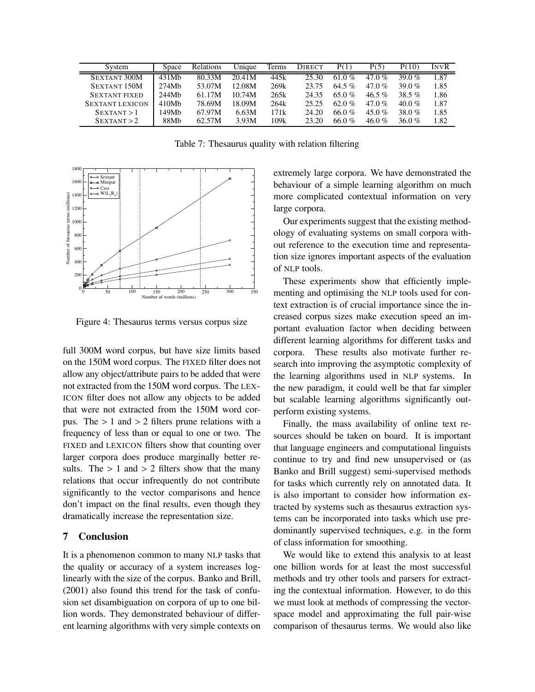| System                 | Space | <b>Relations</b> | Unique | Terms | <b>DIRECT</b> | P(1)     | P(5)     | 10)<br>P١ | <b>INVR</b> |
|------------------------|-------|------------------|--------|-------|---------------|----------|----------|-----------|-------------|
| SEXTANT 300M           | 431Mb | 80.33M           | 20.41M | 445k  | 25.30         | 61.0 %   | 47.0 $%$ | 39.0 $%$  | 1.87        |
| <b>SEXTANT 150M</b>    | 274Mh | 53.07M           | 12.08M | 269k  | 23.75         | 64.5 %   | 47.0 $%$ | 39.0 $%$  | 1.85        |
| <b>SEXTANT FIXED</b>   | 244Mh | 61.17M           | 10.74M | 265k  | 24.35         | 65.0 %   | $46.5\%$ | 38.5 $%$  | 1.86        |
| <b>SEXTANT LEXICON</b> | 410Mh | 78.69M           | 18.09M | 264k  | 25.25         | 62.0 %   | 47.0 $%$ | 40.0 %    | 1.87        |
| $S$ EXTANT > 1         | 149Mb | 67.97M           | 6.63M  | 171k  | 24.20         | 66.0 $%$ | 45.0 %   | 38.0%     | 1.85        |
| $S$ EXTANT > 2         | 88Mb  | 62.57M           | 3.93M  | 109k  | 23.20         | 66.0 %   | 46.0 %   | 36.0 $%$  | 1.82        |

Table 7: Thesaurus quality with relation filtering



Figure 4: Thesaurus terms versus corpus size

full 300M word corpus, but have size limits based on the 150M word corpus. The FIXED filter does not allow any object/attribute pairs to be added that were not extracted from the 150M word corpus. The LEX-ICON filter does not allow any objects to be added that were not extracted from the 150M word corpus. The  $> 1$  and  $> 2$  filters prune relations with a frequency of less than or equal to one or two. The FIXED and LEXICON filters show that counting over larger corpora does produce marginally better results. The  $> 1$  and  $> 2$  filters show that the many relations that occur infrequently do not contribute significantly to the vector comparisons and hence don't impact on the final results, even though they dramatically increase the representation size.

# **7 Conclusion**

It is a phenomenon common to many NLP tasks that the quality or accuracy of a system increases loglinearly with the size of the corpus. Banko and Brill, (2001) also found this trend for the task of confusion set disambiguation on corpora of up to one billion words. They demonstrated behaviour of different learning algorithms with very simple contexts on

extremely large corpora. We have demonstrated the behaviour of a simple learning algorithm on much more complicated contextual information on very large corpora.

Our experiments suggest that the existing methodology of evaluating systems on small corpora without reference to the execution time and representation size ignores important aspects of the evaluation of NLP tools.

These experiments show that efficiently implementing and optimising the NLP tools used for context extraction is of crucial importance since the increased corpus sizes make execution speed an important evaluation factor when deciding between different learning algorithms for different tasks and corpora. These results also motivate further research into improving the asymptotic complexity of the learning algorithms used in NLP systems. In the new paradigm, it could well be that far simpler but scalable learning algorithms significantly outperform existing systems.

Finally, the mass availability of online text resources should be taken on board. It is important that language engineers and computational linguists continue to try and find new unsupervised or (as Banko and Brill suggest) semi-supervised methods for tasks which currently rely on annotated data. It is also important to consider how information extracted by systems such as thesaurus extraction systems can be incorporated into tasks which use predominantly supervised techniques, e.g. in the form of class information for smoothing.

We would like to extend this analysis to at least one billion words for at least the most successful methods and try other tools and parsers for extracting the contextual information. However, to do this we must look at methods of compressing the vectorspace model and approximating the full pair-wise comparison of thesaurus terms. We would also like